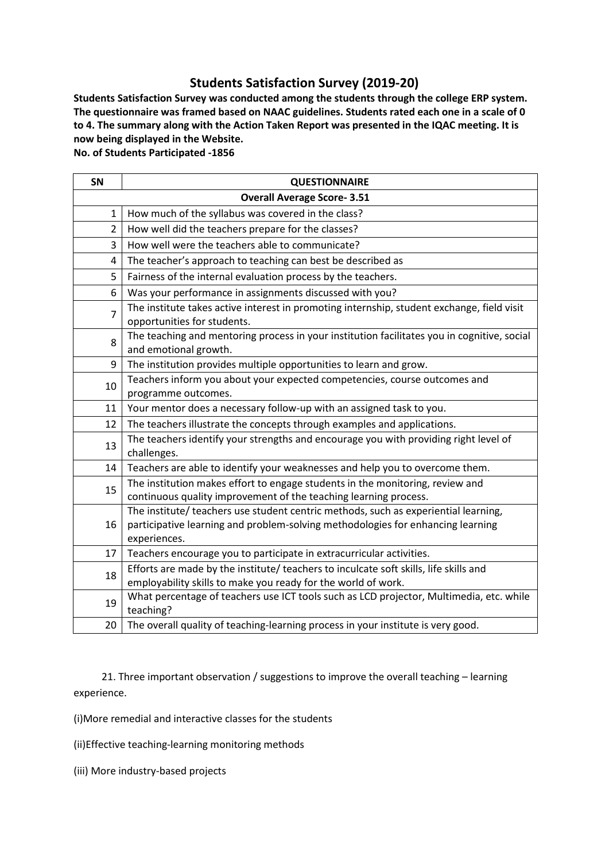## **Students Satisfaction Survey (2019-20)**

**Students Satisfaction Survey was conducted among the students through the college ERP system. The questionnaire was framed based on NAAC guidelines. Students rated each one in a scale of 0 to 4. The summary along with the Action Taken Report was presented in the IQAC meeting. It is now being displayed in the Website.**

**No. of Students Participated -1856**

| SN                                | <b>QUESTIONNAIRE</b>                                                                                                                                                                   |
|-----------------------------------|----------------------------------------------------------------------------------------------------------------------------------------------------------------------------------------|
| <b>Overall Average Score-3.51</b> |                                                                                                                                                                                        |
| 1                                 | How much of the syllabus was covered in the class?                                                                                                                                     |
| 2                                 | How well did the teachers prepare for the classes?                                                                                                                                     |
| 3                                 | How well were the teachers able to communicate?                                                                                                                                        |
| 4                                 | The teacher's approach to teaching can best be described as                                                                                                                            |
| 5                                 | Fairness of the internal evaluation process by the teachers.                                                                                                                           |
| 6                                 | Was your performance in assignments discussed with you?                                                                                                                                |
| $\overline{7}$                    | The institute takes active interest in promoting internship, student exchange, field visit<br>opportunities for students.                                                              |
| 8                                 | The teaching and mentoring process in your institution facilitates you in cognitive, social<br>and emotional growth.                                                                   |
| 9                                 | The institution provides multiple opportunities to learn and grow.                                                                                                                     |
| 10                                | Teachers inform you about your expected competencies, course outcomes and<br>programme outcomes.                                                                                       |
| 11                                | Your mentor does a necessary follow-up with an assigned task to you.                                                                                                                   |
| 12                                | The teachers illustrate the concepts through examples and applications.                                                                                                                |
| 13                                | The teachers identify your strengths and encourage you with providing right level of<br>challenges.                                                                                    |
| 14                                | Teachers are able to identify your weaknesses and help you to overcome them.                                                                                                           |
| 15                                | The institution makes effort to engage students in the monitoring, review and<br>continuous quality improvement of the teaching learning process.                                      |
| 16                                | The institute/ teachers use student centric methods, such as experiential learning,<br>participative learning and problem-solving methodologies for enhancing learning<br>experiences. |
| 17                                | Teachers encourage you to participate in extracurricular activities.                                                                                                                   |
| 18                                | Efforts are made by the institute/ teachers to inculcate soft skills, life skills and<br>employability skills to make you ready for the world of work.                                 |
| 19                                | What percentage of teachers use ICT tools such as LCD projector, Multimedia, etc. while<br>teaching?                                                                                   |
| 20                                | The overall quality of teaching-learning process in your institute is very good.                                                                                                       |

 21. Three important observation / suggestions to improve the overall teaching – learning experience.

(i)More remedial and interactive classes for the students

(ii)Effective teaching-learning monitoring methods

(iii) More industry-based projects